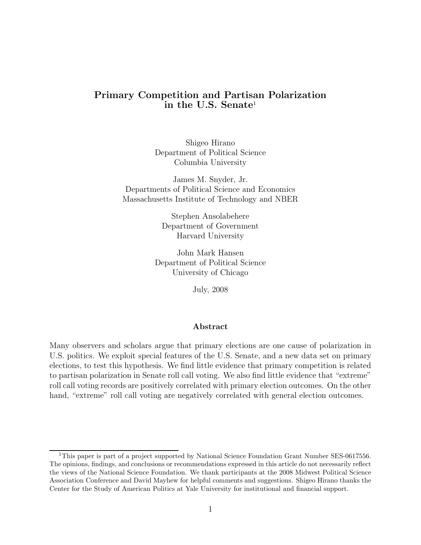# Primary Competition and Partisan Polarization  $\;$  in the U.S. Senate $^1$

Shigeo Hirano Department of Political Science Columbia University

James M. Snyder, Jr. Departments of Political Science and Economics Massachusetts Institute of Technology and NBER

> Stephen Ansolabehere Department of Government Harvard University

John Mark Hansen Department of Political Science University of Chicago

July, 2008

#### Abstract

Many observers and scholars argue that primary elections are one cause of polarization in U.S. politics. We exploit special features of the U.S. Senate, and a new data set on primary elections, to test this hypothesis. We find little evidence that primary competition is related to partisan polarization in Senate roll call voting. We also find little evidence that "extreme" roll call voting records are positively correlated with primary election outcomes. On the other hand, "extreme" roll call voting are negatively correlated with general election outcomes.

<sup>&</sup>lt;sup>1</sup>This paper is part of a project supported by National Science Foundation Grant Number SES-0617556. The opinions, findings, and conclusions or recommendations expressed in this article do not necessarily reflect the views of the National Science Foundation. We thank participants at the 2008 Midwest Political Science Association Conference and David Mayhew for helpful comments and suggestions. Shigeo Hirano thanks the Center for the Study of American Politics at Yale University for institutional and financial support.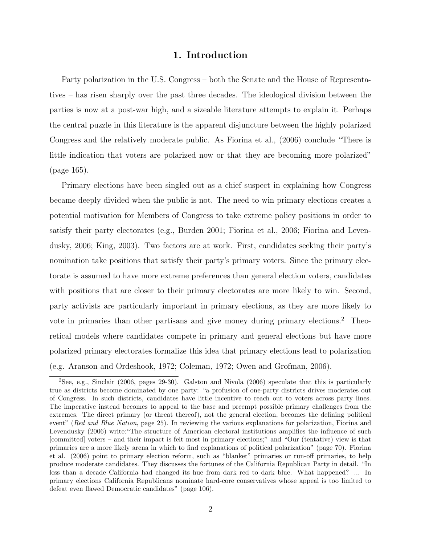## 1. Introduction

Party polarization in the U.S. Congress – both the Senate and the House of Representatives – has risen sharply over the past three decades. The ideological division between the parties is now at a post-war high, and a sizeable literature attempts to explain it. Perhaps the central puzzle in this literature is the apparent disjuncture between the highly polarized Congress and the relatively moderate public. As Fiorina et al., (2006) conclude \There is little indication that voters are polarized now or that they are becoming more polarized" (page 165).

Primary elections have been singled out as a chief suspect in explaining how Congress became deeply divided when the public is not. The need to win primary elections creates a potential motivation for Members of Congress to take extreme policy positions in order to satisfy their party electorates (e.g., Burden 2001; Fiorina et al., 2006; Fiorina and Levendusky, 2006; King, 2003). Two factors are at work. First, candidates seeking their party's nomination take positions that satisfy their party's primary voters. Since the primary electorate is assumed to have more extreme preferences than general election voters, candidates with positions that are closer to their primary electorates are more likely to win. Second, party activists are particularly important in primary elections, as they are more likely to vote in primaries than other partisans and give money during primary elections.<sup>2</sup> Theoretical models where candidates compete in primary and general elections but have more polarized primary electorates formalize this idea that primary elections lead to polarization (e.g. Aranson and Ordeshook, 1972; Coleman, 1972; Owen and Grofman, 2006).

<sup>&</sup>lt;sup>2</sup>See, e.g., Sinclair (2006, pages 29-30). Galston and Nivola (2006) speculate that this is particularly true as districts become dominated by one party: "a profusion of one-party districts drives moderates out of Congress. In such districts, candidates have little incentive to reach out to voters across party lines. The imperative instead becomes to appeal to the base and preempt possible primary challenges from the extremes. The direct primary (or threat thereof), not the general election, becomes the defining political event" (Red and Blue Nation, page 25). In reviewing the various explanations for polarization, Fiorina and Levendusky (2006) write: "The structure of American electoral institutions amplifies the influence of such [committed] voters – and their impact is felt most in primary elections;" and "Our (tentative) view is that primaries are a more likely arena in which to find explanations of political polarization" (page 70). Fiorina et al. (2006) point to primary election reform, such as "blanket" primaries or run-off primaries, to help produce moderate candidates. They discusses the fortunes of the California Republican Party in detail. "In less than a decade California had changed its hue from dark red to dark blue. What happened? ... In primary elections California Republicans nominate hard-core conservatives whose appeal is too limited to defeat even flawed Democratic candidates" (page 106).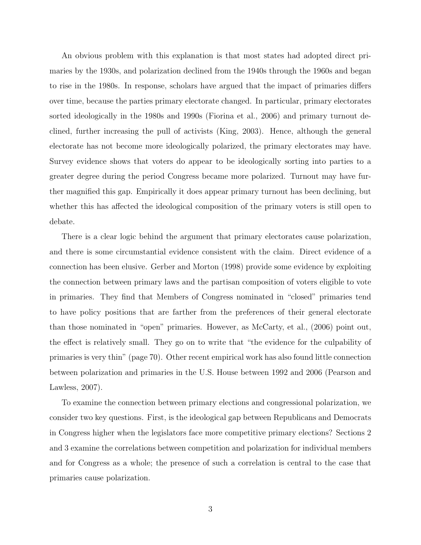An obvious problem with this explanation is that most states had adopted direct primaries by the 1930s, and polarization declined from the 1940s through the 1960s and began to rise in the 1980s. In response, scholars have argued that the impact of primaries differs over time, because the parties primary electorate changed. In particular, primary electorates sorted ideologically in the 1980s and 1990s (Fiorina et al., 2006) and primary turnout declined, further increasing the pull of activists (King, 2003). Hence, although the general electorate has not become more ideologically polarized, the primary electorates may have. Survey evidence shows that voters do appear to be ideologically sorting into parties to a greater degree during the period Congress became more polarized. Turnout may have further magnified this gap. Empirically it does appear primary turnout has been declining, but whether this has affected the ideological composition of the primary voters is still open to debate.

There is a clear logic behind the argument that primary electorates cause polarization, and there is some circumstantial evidence consistent with the claim. Direct evidence of a connection has been elusive. Gerber and Morton (1998) provide some evidence by exploiting the connection between primary laws and the partisan composition of voters eligible to vote in primaries. They find that Members of Congress nominated in "closed" primaries tend to have policy positions that are farther from the preferences of their general electorate than those nominated in "open" primaries. However, as McCarty, et al.,  $(2006)$  point out, the effect is relatively small. They go on to write that "the evidence for the culpability of primaries is very thin" (page 70). Other recent empirical work has also found little connection between polarization and primaries in the U.S. House between 1992 and 2006 (Pearson and Lawless, 2007).

To examine the connection between primary elections and congressional polarization, we consider two key questions. First, is the ideological gap between Republicans and Democrats in Congress higher when the legislators face more competitive primary elections? Sections 2 and 3 examine the correlations between competition and polarization for individual members and for Congress as a whole; the presence of such a correlation is central to the case that primaries cause polarization.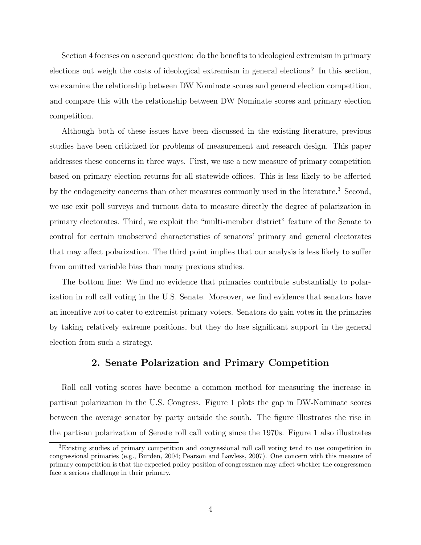Section 4 focuses on a second question: do the benefits to ideological extremism in primary elections out weigh the costs of ideological extremism in general elections? In this section, we examine the relationship between DW Nominate scores and general election competition, and compare this with the relationship between DW Nominate scores and primary election competition.

Although both of these issues have been discussed in the existing literature, previous studies have been criticized for problems of measurement and research design. This paper addresses these concerns in three ways. First, we use a new measure of primary competition based on primary election returns for all statewide offices. This is less likely to be affected by the endogeneity concerns than other measures commonly used in the literature. <sup>3</sup> Second, we use exit poll surveys and turnout data to measure directly the degree of polarization in primary electorates. Third, we exploit the \multi-member district" feature of the Senate to control for certain unobserved characteristics of senators' primary and general electorates that may affect polarization. The third point implies that our analysis is less likely to suffer from omitted variable bias than many previous studies.

The bottom line: We find no evidence that primaries contribute substantially to polarization in roll call voting in the U.S. Senate. Moreover, we find evidence that senators have an incentive not to cater to extremist primary voters. Senators do gain votes in the primaries by taking relatively extreme positions, but they do lose significant support in the general election from such a strategy.

## 2. Senate Polarization and Primary Competition

Roll call voting scores have become a common method for measuring the increase in partisan polarization in the U.S. Congress. Figure 1 plots the gap in DW-Nominate scores between the average senator by party outside the south. The figure illustrates the rise in the partisan polarization of Senate roll call voting since the 1970s. Figure 1 also illustrates

<sup>&</sup>lt;sup>3</sup>Existing studies of primary competition and congressional roll call voting tend to use competition in congressional primaries (e.g., Burden, 2004; Pearson and Lawless, 2007). One concern with this measure of primary competition is that the expected policy position of congressmen may affect whether the congressmen face a serious challenge in their primary.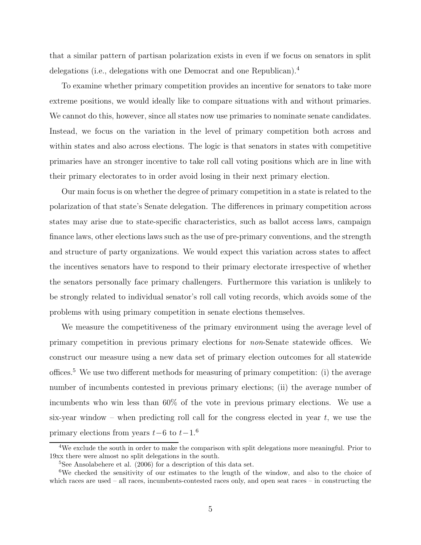that a similar pattern of partisan polarization exists in even if we focus on senators in split delegations (i.e., delegations with one Democrat and one Republican).<sup>4</sup>

To examine whether primary competition provides an incentive for senators to take more extreme positions, we would ideally like to compare situations with and without primaries. We cannot do this, however, since all states now use primaries to nominate senate candidates. Instead, we focus on the variation in the level of primary competition both across and within states and also across elections. The logic is that senators in states with competitive primaries have an stronger incentive to take roll call voting positions which are in line with their primary electorates to in order avoid losing in their next primary election.

Our main focus is on whether the degree of primary competition in a state is related to the polarization of that state's Senate delegation. The differences in primary competition across states may arise due to state-specific characteristics, such as ballot access laws, campaign finance laws, other elections laws such as the use of pre-primary conventions, and the strength and structure of party organizations. We would expect this variation across states to affect the incentives senators have to respond to their primary electorate irrespective of whether the senators personally face primary challengers. Furthermore this variation is unlikely to be strongly related to individual senator's roll call voting records, which avoids some of the problems with using primary competition in senate elections themselves.

We measure the competitiveness of the primary environment using the average level of primary competition in previous primary elections for  $non$ -Senate statewide offices. We construct our measure using a new data set of primary election outcomes for all statewide offices.<sup>5</sup> We use two different methods for measuring of primary competition: (i) the average number of incumbents contested in previous primary elections; (ii) the average number of incumbents who win less than 60% of the vote in previous primary elections. We use a six-year window  $-$  when predicting roll call for the congress elected in year t, we use the primary elections from years  $t-6$  to  $t-1$ .<sup>6</sup>

<sup>&</sup>lt;sup>4</sup>We exclude the south in order to make the comparison with split delegations more meaningful. Prior to 19xx there were almost no split delegations in the south.

<sup>5</sup>See Ansolabehere et al. (2006) for a description of this data set.

<sup>&</sup>lt;sup>6</sup>We checked the sensitivity of our estimates to the length of the window, and also to the choice of which races are used  $-$  all races, incumbents-contested races only, and open seat races  $-$  in constructing the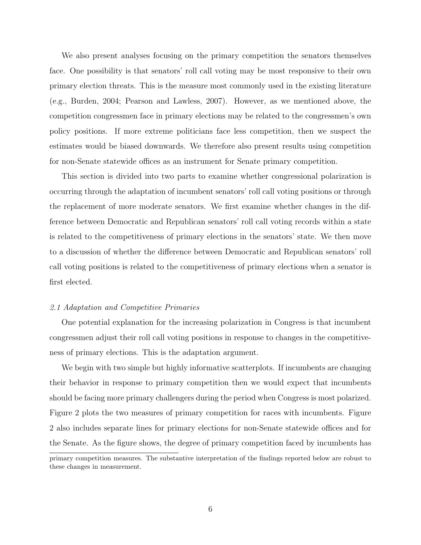We also present analyses focusing on the primary competition the senators themselves face. One possibility is that senators' roll call voting may be most responsive to their own primary election threats. This is the measure most commonly used in the existing literature (e.g., Burden, 2004; Pearson and Lawless, 2007). However, as we mentioned above, the competition congressmen face in primary elections may be related to the congressmen's own policy positions. If more extreme politicians face less competition, then we suspect the estimates would be biased downwards. We therefore also present results using competition for non-Senate statewide offices as an instrument for Senate primary competition.

This section is divided into two parts to examine whether congressional polarization is occurring through the adaptation of incumbent senators' roll call voting positions or through the replacement of more moderate senators. We first examine whether changes in the difference between Democratic and Republican senators' roll call voting records within a state is related to the competitiveness of primary elections in the senators' state. We then move to a discussion of whether the difference between Democratic and Republican senators' roll call voting positions is related to the competitiveness of primary elections when a senator is first elected.

#### 2.1 Adaptation and Competitive Primaries

One potential explanation for the increasing polarization in Congress is that incumbent congressmen adjust their roll call voting positions in response to changes in the competitiveness of primary elections. This is the adaptation argument.

We begin with two simple but highly informative scatterplots. If incumbents are changing their behavior in response to primary competition then we would expect that incumbents should be facing more primary challengers during the period when Congress is most polarized. Figure 2 plots the two measures of primary competition for races with incumbents. Figure 2 also includes separate lines for primary elections for non-Senate statewide offices and for the Senate. As the figure shows, the degree of primary competition faced by incumbents has

primary competition measures. The substantive interpretation of the findings reported below are robust to these changes in measurement.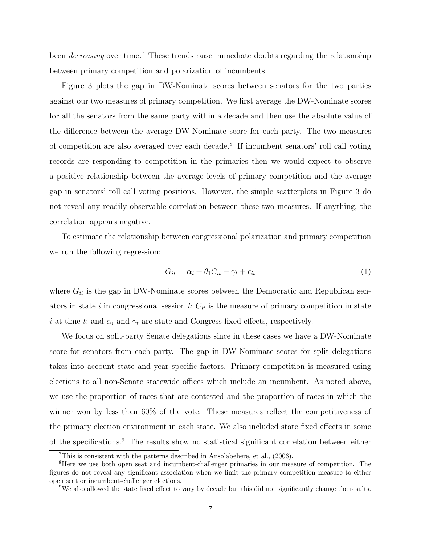been *decreasing* over time.<sup>7</sup> These trends raise immediate doubts regarding the relationship between primary competition and polarization of incumbents.

Figure 3 plots the gap in DW-Nominate scores between senators for the two parties against our two measures of primary competition. We first average the DW-Nominate scores for all the senators from the same party within a decade and then use the absolute value of the difference between the average DW-Nominate score for each party. The two measures of competition are also averaged over each decade. 8 If incumbent senators' roll call voting records are responding to competition in the primaries then we would expect to observe a positive relationship between the average levels of primary competition and the average gap in senators' roll call voting positions. However, the simple scatterplots in Figure 3 do not reveal any readily observable correlation between these two measures. If anything, the correlation appears negative.

To estimate the relationship between congressional polarization and primary competition we run the following regression:

$$
G_{it} = \alpha_i + \theta_1 C_{it} + \gamma_t + \epsilon_{it} \tag{1}
$$

where  $G_{it}$  is the gap in DW-Nominate scores between the Democratic and Republican senators in state *i* in congressional session *t*;  $C_{it}$  is the measure of primary competition in state i at time t; and  $\alpha_i$  and  $\gamma_t$  are state and Congress fixed effects, respectively.

We focus on split-party Senate delegations since in these cases we have a DW-Nominate score for senators from each party. The gap in DW-Nominate scores for split delegations takes into account state and year specific factors. Primary competition is measured using elections to all non-Senate statewide offices which include an incumbent. As noted above, we use the proportion of races that are contested and the proportion of races in which the winner won by less than  $60\%$  of the vote. These measures reflect the competitiveness of the primary election environment in each state. We also included state fixed effects in some of the specifications.<sup>9</sup> The results show no statistical significant correlation between either

 $7$ This is consistent with the patterns described in Ansolabehere, et al., (2006).

<sup>&</sup>lt;sup>8</sup>Here we use both open seat and incumbent-challenger primaries in our measure of competition. The figures do not reveal any significant association when we limit the primary competition measure to either open seat or incumbent-challenger elections.

<sup>&</sup>lt;sup>9</sup>We also allowed the state fixed effect to vary by decade but this did not significantly change the results.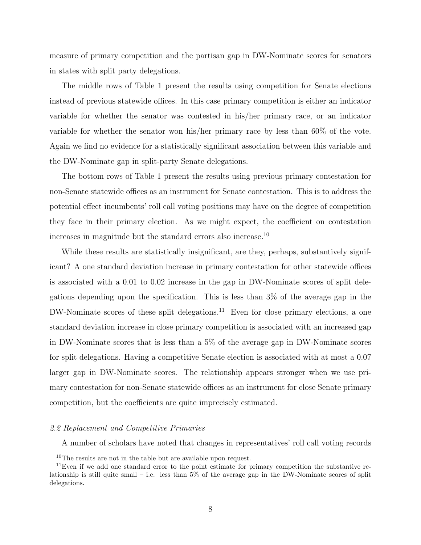measure of primary competition and the partisan gap in DW-Nominate scores for senators in states with split party delegations.

The middle rows of Table 1 present the results using competition for Senate elections instead of previous statewide offices. In this case primary competition is either an indicator variable for whether the senator was contested in his/her primary race, or an indicator variable for whether the senator won his/her primary race by less than 60% of the vote. Again we find no evidence for a statistically significant association between this variable and the DW-Nominate gap in split-party Senate delegations.

The bottom rows of Table 1 present the results using previous primary contestation for non-Senate statewide offices as an instrument for Senate contestation. This is to address the potential effect incumbents' roll call voting positions may have on the degree of competition they face in their primary election. As we might expect, the coefficient on contestation increases in magnitude but the standard errors also increase. 10

While these results are statistically insignificant, are they, perhaps, substantively significant? A one standard deviation increase in primary contestation for other statewide offices is associated with a 0.01 to 0.02 increase in the gap in DW-Nominate scores of split delegations depending upon the specification. This is less than  $3\%$  of the average gap in the DW-Nominate scores of these split delegations.<sup>11</sup> Even for close primary elections, a one standard deviation increase in close primary competition is associated with an increased gap in DW-Nominate scores that is less than a 5% of the average gap in DW-Nominate scores for split delegations. Having a competitive Senate election is associated with at most a 0.07 larger gap in DW-Nominate scores. The relationship appears stronger when we use primary contestation for non-Senate statewide offices as an instrument for close Senate primary competition, but the coefficients are quite imprecisely estimated.

#### 2.2 Replacement and Competitive Primaries

A number of scholars have noted that changes in representatives' roll call voting records

<sup>&</sup>lt;sup>10</sup>The results are not in the table but are available upon request.

<sup>&</sup>lt;sup>11</sup>Even if we add one standard error to the point estimate for primary competition the substantive relationship is still quite small  $-$  i.e. less than  $5\%$  of the average gap in the DW-Nominate scores of split delegations.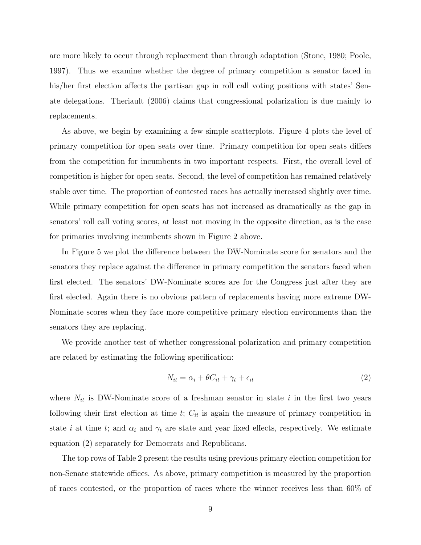are more likely to occur through replacement than through adaptation (Stone, 1980; Poole, 1997). Thus we examine whether the degree of primary competition a senator faced in his/her first election affects the partisan gap in roll call voting positions with states' Senate delegations. Theriault (2006) claims that congressional polarization is due mainly to replacements.

As above, we begin by examining a few simple scatterplots. Figure 4 plots the level of primary competition for open seats over time. Primary competition for open seats differs from the competition for incumbents in two important respects. First, the overall level of competition is higher for open seats. Second, the level of competition has remained relatively stable over time. The proportion of contested races has actually increased slightly over time. While primary competition for open seats has not increased as dramatically as the gap in senators' roll call voting scores, at least not moving in the opposite direction, as is the case for primaries involving incumbents shown in Figure 2 above.

In Figure 5 we plot the difference between the DW-Nominate score for senators and the senators they replace against the difference in primary competition the senators faced when first elected. The senators' DW-Nominate scores are for the Congress just after they are first elected. Again there is no obvious pattern of replacements having more extreme DW-Nominate scores when they face more competitive primary election environments than the senators they are replacing.

We provide another test of whether congressional polarization and primary competition are related by estimating the following specification:

$$
N_{it} = \alpha_i + \theta C_{it} + \gamma_t + \epsilon_{it} \tag{2}
$$

where  $N_{it}$  is DW-Nominate score of a freshman senator in state i in the first two years following their first election at time  $t$ ;  $C_{it}$  is again the measure of primary competition in state i at time t; and  $\alpha_i$  and  $\gamma_t$  are state and year fixed effects, respectively. We estimate equation (2) separately for Democrats and Republicans.

The top rows of Table 2 present the results using previous primary election competition for non-Senate statewide offices. As above, primary competition is measured by the proportion of races contested, or the proportion of races where the winner receives less than 60% of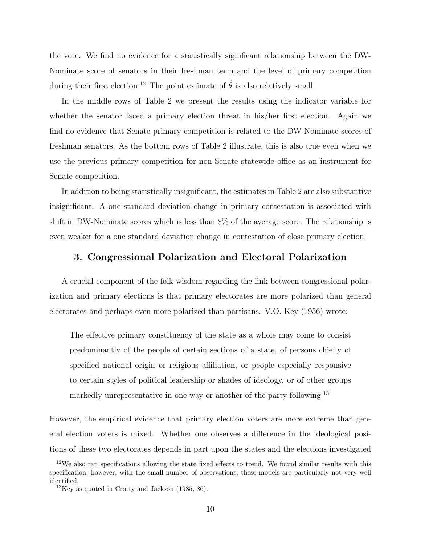the vote. We find no evidence for a statistically significant relationship between the DW-Nominate score of senators in their freshman term and the level of primary competition during their first election.<sup>12</sup> The point estimate of  $\hat{\theta}$  is also relatively small.

In the middle rows of Table 2 we present the results using the indicator variable for whether the senator faced a primary election threat in his/her first election. Again we find no evidence that Senate primary competition is related to the DW-Nominate scores of freshman senators. As the bottom rows of Table 2 illustrate, this is also true even when we use the previous primary competition for non-Senate statewide office as an instrument for Senate competition.

In addition to being statistically insignificant, the estimates in Table 2 are also substantive insignificant. A one standard deviation change in primary contestation is associated with shift in DW-Nominate scores which is less than 8% of the average score. The relationship is even weaker for a one standard deviation change in contestation of close primary election.

## 3. Congressional Polarization and Electoral Polarization

A crucial component of the folk wisdom regarding the link between congressional polarization and primary elections is that primary electorates are more polarized than general electorates and perhaps even more polarized than partisans. V.O. Key (1956) wrote:

The effective primary constituency of the state as a whole may come to consist predominantly of the people of certain sections of a state, of persons chiefly of specified national origin or religious affiliation, or people especially responsive to certain styles of political leadership or shades of ideology, or of other groups markedly unrepresentative in one way or another of the party following.<sup>13</sup>

However, the empirical evidence that primary election voters are more extreme than general election voters is mixed. Whether one observes a difference in the ideological positions of these two electorates depends in part upon the states and the elections investigated

 $12\text{We also ran specifications allowing the state fixed effects to trend. We found similar results with this.}$ specification; however, with the small number of observations, these models are particularly not very well identified.

 $13$ Key as quoted in Crotty and Jackson (1985, 86).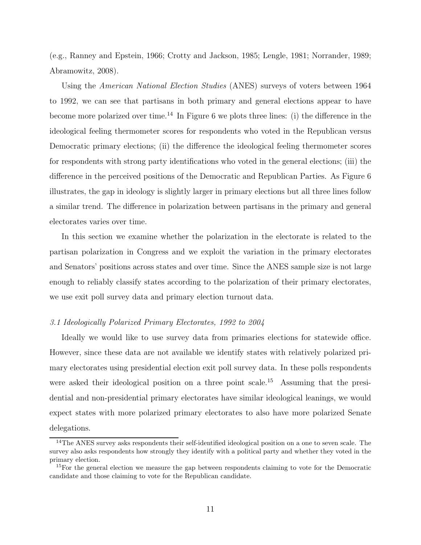(e.g., Ranney and Epstein, 1966; Crotty and Jackson, 1985; Lengle, 1981; Norrander, 1989; Abramowitz, 2008).

Using the *American National Election Studies* (ANES) surveys of voters between 1964 to 1992, we can see that partisans in both primary and general elections appear to have become more polarized over time.<sup>14</sup> In Figure 6 we plots three lines: (i) the difference in the ideological feeling thermometer scores for respondents who voted in the Republican versus Democratic primary elections; (ii) the difference the ideological feeling thermometer scores for respondents with strong party identifications who voted in the general elections; (iii) the difference in the perceived positions of the Democratic and Republican Parties. As Figure 6 illustrates, the gap in ideology is slightly larger in primary elections but all three lines follow a similar trend. The difference in polarization between partisans in the primary and general electorates varies over time.

In this section we examine whether the polarization in the electorate is related to the partisan polarization in Congress and we exploit the variation in the primary electorates and Senators' positions across states and over time. Since the ANES sample size is not large enough to reliably classify states according to the polarization of their primary electorates, we use exit poll survey data and primary election turnout data.

## 3.1 Ideologically Polarized Primary Electorates, 1992 to 2004

Ideally we would like to use survey data from primaries elections for statewide office. However, since these data are not available we identify states with relatively polarized primary electorates using presidential election exit poll survey data. In these polls respondents were asked their ideological position on a three point scale.<sup>15</sup> Assuming that the presidential and non-presidential primary electorates have similar ideological leanings, we would expect states with more polarized primary electorates to also have more polarized Senate delegations.

 $14$ The ANES survey asks respondents their self-identified ideological position on a one to seven scale. The survey also asks respondents how strongly they identify with a political party and whether they voted in the primary election.

 $15$ For the general election we measure the gap between respondents claiming to vote for the Democratic candidate and those claiming to vote for the Republican candidate.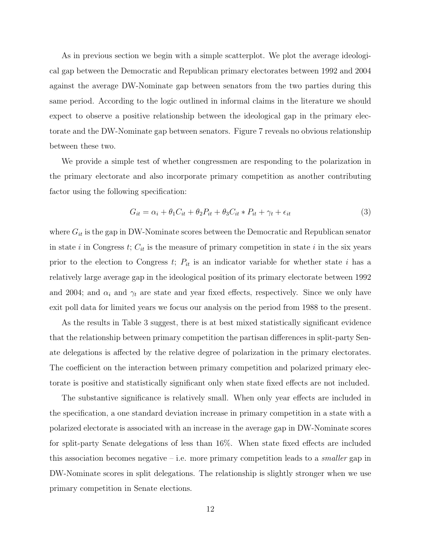As in previous section we begin with a simple scatterplot. We plot the average ideological gap between the Democratic and Republican primary electorates between 1992 and 2004 against the average DW-Nominate gap between senators from the two parties during this same period. According to the logic outlined in informal claims in the literature we should expect to observe a positive relationship between the ideological gap in the primary electorate and the DW-Nominate gap between senators. Figure 7 reveals no obvious relationship between these two.

We provide a simple test of whether congressmen are responding to the polarization in the primary electorate and also incorporate primary competition as another contributing factor using the following specification:

$$
G_{it} = \alpha_i + \theta_1 C_{it} + \theta_2 P_{it} + \theta_3 C_{it} * P_{it} + \gamma_t + \epsilon_{it}
$$
\n(3)

where  $G_{it}$  is the gap in DW-Nominate scores between the Democratic and Republican senator in state *i* in Congress *t*;  $C_{it}$  is the measure of primary competition in state *i* in the six years prior to the election to Congress  $t$ ;  $P_{it}$  is an indicator variable for whether state i has a relatively large average gap in the ideological position of its primary electorate between 1992 and 2004; and  $\alpha_i$  and  $\gamma_t$  are state and year fixed effects, respectively. Since we only have exit poll data for limited years we focus our analysis on the period from 1988 to the present.

As the results in Table 3 suggest, there is at best mixed statistically significant evidence that the relationship between primary competition the partisan differences in split-party Senate delegations is affected by the relative degree of polarization in the primary electorates. The coefficient on the interaction between primary competition and polarized primary electorate is positive and statistically significant only when state fixed effects are not included.

The substantive significance is relatively small. When only year effects are included in the specification, a one standard deviation increase in primary competition in a state with a polarized electorate is associated with an increase in the average gap in DW-Nominate scores for split-party Senate delegations of less than 16%. When state fixed effects are included this association becomes negative  ${\rm -i.e.}$  more primary competition leads to a *smaller* gap in DW-Nominate scores in split delegations. The relationship is slightly stronger when we use primary competition in Senate elections.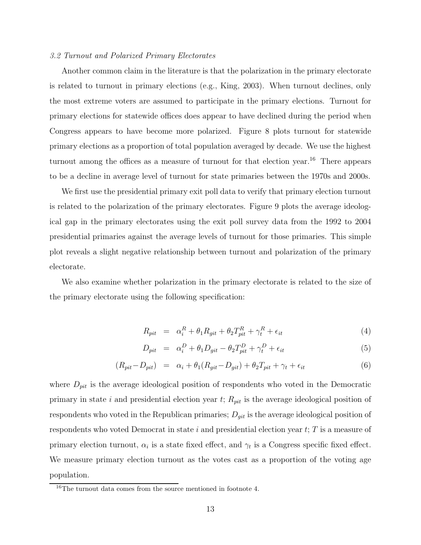#### 3.2 Turnout and Polarized Primary Electorates

Another common claim in the literature is that the polarization in the primary electorate is related to turnout in primary elections (e.g., King, 2003). When turnout declines, only the most extreme voters are assumed to participate in the primary elections. Turnout for primary elections for statewide offices does appear to have declined during the period when Congress appears to have become more polarized. Figure 8 plots turnout for statewide primary elections as a proportion of total population averaged by decade. We use the highest turnout among the offices as a measure of turnout for that election year.<sup>16</sup> There appears to be a decline in average level of turnout for state primaries between the 1970s and 2000s.

We first use the presidential primary exit poll data to verify that primary election turnout is related to the polarization of the primary electorates. Figure 9 plots the average ideological gap in the primary electorates using the exit poll survey data from the 1992 to 2004 presidential primaries against the average levels of turnout for those primaries. This simple plot reveals a slight negative relationship between turnout and polarization of the primary electorate.

We also examine whether polarization in the primary electorate is related to the size of the primary electorate using the following specification:

$$
R_{pit} = \alpha_i^R + \theta_1 R_{git} + \theta_2 T_{pit}^R + \gamma_t^R + \epsilon_{it}
$$
\n
$$
\tag{4}
$$

$$
D_{pit} = \alpha_i^D + \theta_1 D_{git} - \theta_2 T_{pit}^D + \gamma_t^D + \epsilon_{it}
$$
\n
$$
\tag{5}
$$

$$
(R_{pit} - D_{pit}) = \alpha_i + \theta_1 (R_{git} - D_{git}) + \theta_2 T_{pit} + \gamma_t + \epsilon_{it}
$$
\n
$$
\tag{6}
$$

where  $D_{pit}$  is the average ideological position of respondents who voted in the Democratic primary in state i and presidential election year  $t$ ;  $R_{pit}$  is the average ideological position of respondents who voted in the Republican primaries;  $D_{git}$  is the average ideological position of respondents who voted Democrat in state i and presidential election year  $t$ ; T is a measure of primary election turnout,  $\alpha_i$  is a state fixed effect, and  $\gamma_t$  is a Congress specific fixed effect. We measure primary election turnout as the votes cast as a proportion of the voting age population.

<sup>&</sup>lt;sup>16</sup>The turnout data comes from the source mentioned in footnote 4.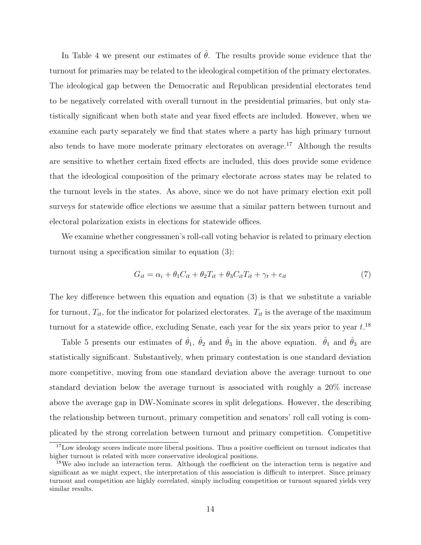In Table 4 we present our estimates of  $\hat{\theta}$ . The results provide some evidence that the turnout for primaries may be related to the ideological competition of the primary electorates. The ideological gap between the Democratic and Republican presidential electorates tend to be negatively correlated with overall turnout in the presidential primaries, but only statistically significant when both state and year fixed effects are included. However, when we examine each party separately we find that states where a party has high primary turnout also tends to have more moderate primary electorates on average.<sup>17</sup> Although the results are sensitive to whether certain fixed effects are included, this does provide some evidence that the ideological composition of the primary electorate across states may be related to the turnout levels in the states. As above, since we do not have primary election exit poll surveys for statewide office elections we assume that a similar pattern between turnout and electoral polarization exists in elections for statewide offices.

We examine whether congressmen's roll-call voting behavior is related to primary election turnout using a specification similar to equation  $(3)$ :

$$
G_{it} = \alpha_i + \theta_1 C_{it} + \theta_2 T_{it} + \theta_3 C_{it} T_{it} + \gamma_t + \epsilon_{it}
$$
\n<sup>(7)</sup>

The key difference between this equation and equation  $(3)$  is that we substitute a variable for turnout,  $T_{it}$ , for the indicator for polarized electorates.  $T_{it}$  is the average of the maximum turnout for a statewide office, excluding Senate, each year for the six years prior to year  $t.^{18}$ 

Table 5 presents our estimates of  $\hat{\theta}_1$ ,  $\hat{\theta}_2$  and  $\hat{\theta}_3$  in the above equation.  $\hat{\theta}_1$  and  $\hat{\theta}_3$  are statistically significant. Substantively, when primary contestation is one standard deviation more competitive, moving from one standard deviation above the average turnout to one standard deviation below the average turnout is associated with roughly a 20% increase above the average gap in DW-Nominate scores in split delegations. However, the describing the relationship between turnout, primary competition and senators' roll call voting is complicated by the strong correlation between turnout and primary competition. Competitive

 $17$ Low ideology scores indicate more liberal positions. Thus a positive coefficient on turnout indicates that higher turnout is related with more conservative ideological positions.

 $18$ We also include an interaction term. Although the coefficient on the interaction term is negative and significant as we might expect, the interpretation of this association is difficult to interpret. Since primary turnout and competition are highly correlated, simply including competition or turnout squared yields very similar results.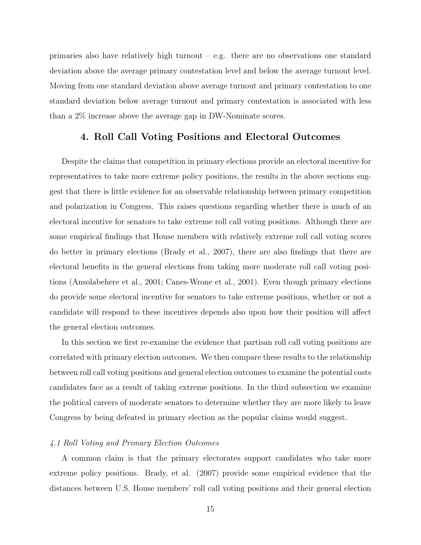primaries also have relatively high turnout  $-$  e.g. there are no observations one standard deviation above the average primary contestation level and below the average turnout level. Moving from one standard deviation above average turnout and primary contestation to one standard deviation below average turnout and primary contestation is associated with less than a 2% increase above the average gap in DW-Nominate scores.

## 4. Roll Call Voting Positions and Electoral Outcomes

Despite the claims that competition in primary elections provide an electoral incentive for representatives to take more extreme policy positions, the results in the above sections suggest that there is little evidence for an observable relationship between primary competition and polarization in Congress. This raises questions regarding whether there is much of an electoral incentive for senators to take extreme roll call voting positions. Although there are some empirical findings that House members with relatively extreme roll call voting scores do better in primary elections (Brady et al.,  $2007$ ), there are also findings that there are electoral benefits in the general elections from taking more moderate roll call voting positions (Ansolabehere et al., 2001; Canes-Wrone et al., 2001). Even though primary elections do provide some electoral incentive for senators to take extreme positions, whether or not a candidate will respond to these incentives depends also upon how their position will affect the general election outcomes.

In this section we first re-examine the evidence that partisan roll call voting positions are correlated with primary election outcomes. We then compare these results to the relationship between roll call voting positions and general election outcomes to examine the potential costs candidates face as a result of taking extreme positions. In the third subsection we examine the political careers of moderate senators to determine whether they are more likely to leave Congress by being defeated in primary election as the popular claims would suggest.

#### 4.1 Roll Voting and Primary Election Outcomes

A common claim is that the primary electorates support candidates who take more extreme policy positions. Brady, et al. (2007) provide some empirical evidence that the distances between U.S. House members' roll call voting positions and their general election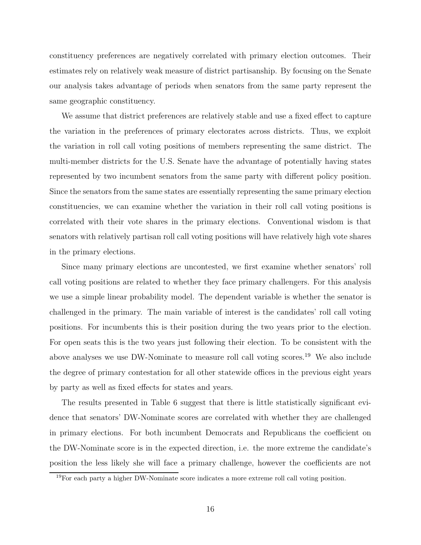constituency preferences are negatively correlated with primary election outcomes. Their estimates rely on relatively weak measure of district partisanship. By focusing on the Senate our analysis takes advantage of periods when senators from the same party represent the same geographic constituency.

We assume that district preferences are relatively stable and use a fixed effect to capture the variation in the preferences of primary electorates across districts. Thus, we exploit the variation in roll call voting positions of members representing the same district. The multi-member districts for the U.S. Senate have the advantage of potentially having states represented by two incumbent senators from the same party with different policy position. Since the senators from the same states are essentially representing the same primary election constituencies, we can examine whether the variation in their roll call voting positions is correlated with their vote shares in the primary elections. Conventional wisdom is that senators with relatively partisan roll call voting positions will have relatively high vote shares in the primary elections.

Since many primary elections are uncontested, we first examine whether senators' roll call voting positions are related to whether they face primary challengers. For this analysis we use a simple linear probability model. The dependent variable is whether the senator is challenged in the primary. The main variable of interest is the candidates' roll call voting positions. For incumbents this is their position during the two years prior to the election. For open seats this is the two years just following their election. To be consistent with the above analyses we use DW-Nominate to measure roll call voting scores. <sup>19</sup> We also include the degree of primary contestation for all other statewide offices in the previous eight years by party as well as fixed effects for states and years.

The results presented in Table 6 suggest that there is little statistically significant evidence that senators' DW-Nominate scores are correlated with whether they are challenged in primary elections. For both incumbent Democrats and Republicans the coefficient on the DW-Nominate score is in the expected direction, i.e. the more extreme the candidate's position the less likely she will face a primary challenge, however the coefficients are not

<sup>19</sup>For each party a higher DW-Nominate score indicates a more extreme roll call voting position.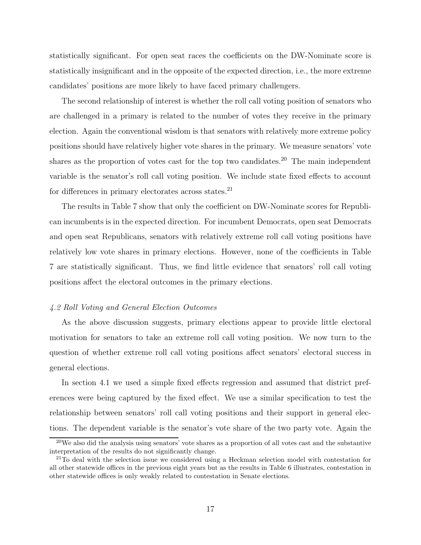statistically significant. For open seat races the coefficients on the DW-Nominate score is statistically insignificant and in the opposite of the expected direction, i.e., the more extreme candidates' positions are more likely to have faced primary challengers.

The second relationship of interest is whether the roll call voting position of senators who are challenged in a primary is related to the number of votes they receive in the primary election. Again the conventional wisdom is that senators with relatively more extreme policy positions should have relatively higher vote shares in the primary. We measure senators' vote shares as the proportion of votes cast for the top two candidates.<sup>20</sup> The main independent variable is the senator's roll call voting position. We include state fixed effects to account for differences in primary electorates across states.<sup>21</sup>

The results in Table 7 show that only the coefficient on DW-Nominate scores for Republican incumbents is in the expected direction. For incumbent Democrats, open seat Democrats and open seat Republicans, senators with relatively extreme roll call voting positions have relatively low vote shares in primary elections. However, none of the coefficients in Table 7 are statistically significant. Thus, we find little evidence that senators' roll call voting positions affect the electoral outcomes in the primary elections.

### 4.2 Roll Voting and General Election Outcomes

As the above discussion suggests, primary elections appear to provide little electoral motivation for senators to take an extreme roll call voting position. We now turn to the question of whether extreme roll call voting positions affect senators' electoral success in general elections.

In section 4.1 we used a simple fixed effects regression and assumed that district preferences were being captured by the fixed effect. We use a similar specification to test the relationship between senators' roll call voting positions and their support in general elections. The dependent variable is the senator's vote share of the two party vote. Again the

 $^{20}$ We also did the analysis using senators' vote shares as a proportion of all votes cast and the substantive interpretation of the results do not significantly change.

 $^{21}$ To deal with the selection issue we considered using a Heckman selection model with contestation for all other statewide offices in the previous eight years but as the results in Table 6 illustrates, contestation in other statewide offices is only weakly related to contestation in Senate elections.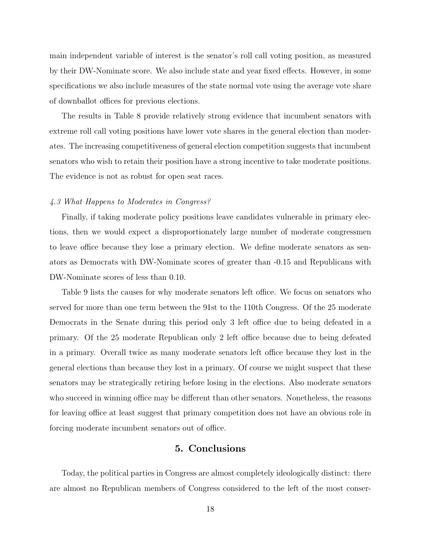main independent variable of interest is the senator's roll call voting position, as measured by their DW-Nominate score. We also include state and year fixed effects. However, in some specifications we also include measures of the state normal vote using the average vote share of downballot offices for previous elections.

The results in Table 8 provide relatively strong evidence that incumbent senators with extreme roll call voting positions have lower vote shares in the general election than moderates. The increasing competitiveness of general election competition suggests that incumbent senators who wish to retain their position have a strong incentive to take moderate positions. The evidence is not as robust for open seat races.

#### 4.3 What Happens to Moderates in Congress?

Finally, if taking moderate policy positions leave candidates vulnerable in primary elections, then we would expect a disproportionately large number of moderate congressmen to leave office because they lose a primary election. We define moderate senators as senators as Democrats with DW-Nominate scores of greater than -0.15 and Republicans with DW-Nominate scores of less than 0.10.

Table 9 lists the causes for why moderate senators left office. We focus on senators who served for more than one term between the 91st to the 110th Congress. Of the 25 moderate Democrats in the Senate during this period only 3 left office due to being defeated in a primary. Of the 25 moderate Republican only 2 left office because due to being defeated in a primary. Overall twice as many moderate senators left office because they lost in the general elections than because they lost in a primary. Of course we might suspect that these senators may be strategically retiring before losing in the elections. Also moderate senators who succeed in winning office may be different than other senators. Nonetheless, the reasons for leaving office at least suggest that primary competition does not have an obvious role in forcing moderate incumbent senators out of office.

## 5. Conclusions

Today, the political parties in Congress are almost completely ideologically distinct: there are almost no Republican members of Congress considered to the left of the most conser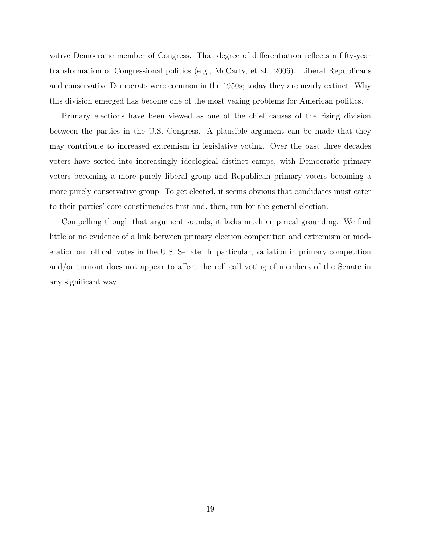vative Democratic member of Congress. That degree of differentiation reflects a fifty-year transformation of Congressional politics (e.g., McCarty, et al., 2006). Liberal Republicans and conservative Democrats were common in the 1950s; today they are nearly extinct. Why this division emerged has become one of the most vexing problems for American politics.

Primary elections have been viewed as one of the chief causes of the rising division between the parties in the U.S. Congress. A plausible argument can be made that they may contribute to increased extremism in legislative voting. Over the past three decades voters have sorted into increasingly ideological distinct camps, with Democratic primary voters becoming a more purely liberal group and Republican primary voters becoming a more purely conservative group. To get elected, it seems obvious that candidates must cater to their parties' core constituencies first and, then, run for the general election.

Compelling though that argument sounds, it lacks much empirical grounding. We find little or no evidence of a link between primary election competition and extremism or moderation on roll call votes in the U.S. Senate. In particular, variation in primary competition and/or turnout does not appear to affect the roll call voting of members of the Senate in any significant way.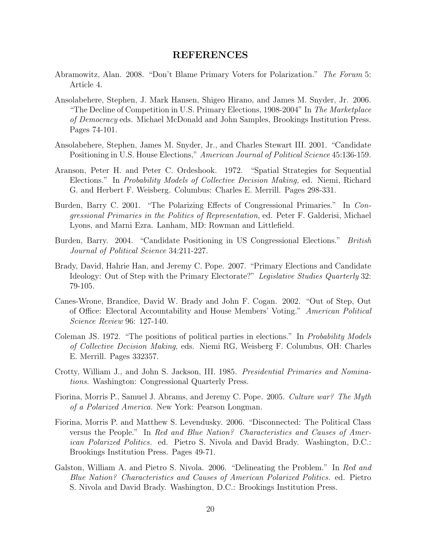## REFERENCES

- Abramowitz, Alan. 2008. "Don't Blame Primary Voters for Polarization." The Forum 5: Article 4.
- Ansolabehere, Stephen, J. Mark Hansen, Shigeo Hirano, and James M. Snyder, Jr. 2006. "The Decline of Competition in U.S. Primary Elections,  $1908-2004$ " In The Marketplace of Democracy eds. Michael McDonald and John Samples, Brookings Institution Press. Pages 74-101.
- Ansolabehere, Stephen, James M. Snyder, Jr., and Charles Stewart III. 2001. "Candidate Positioning in U.S. House Elections," American Journal of Political Science 45:136-159.
- Aranson, Peter H. and Peter C. Ordeshook. 1972. "Spatial Strategies for Sequential Elections." In Probability Models of Collective Decision Making, ed. Niemi, Richard G. and Herbert F. Weisberg. Columbus: Charles E. Merrill. Pages 298-331.
- Burden, Barry C. 2001. "The Polarizing Effects of Congressional Primaries." In Congressional Primaries in the Politics of Representation, ed. Peter F. Galderisi, Michael Lyons, and Marni Ezra. Lanham, MD: Rowman and Littlefield.
- Burden, Barry. 2004. "Candidate Positioning in US Congressional Elections." British Journal of Political Science 34:211-227.
- Brady, David, Hahrie Han, and Jeremy C. Pope. 2007. "Primary Elections and Candidate Ideology: Out of Step with the Primary Electorate?" Legislative Studies Quarterly 32: 79-105.
- Canes-Wrone, Brandice, David W. Brady and John F. Cogan. 2002. "Out of Step, Out of Office: Electoral Accountability and House Members' Voting." American Political Science Review 96: 127-140.
- Coleman JS. 1972. "The positions of political parties in elections." In Probability Models of Collective Decision Making, eds. Niemi RG, Weisberg F. Columbus, OH: Charles E. Merrill. Pages 332357.
- Crotty, William J., and John S. Jackson, III. 1985. Presidential Primaries and Nominations. Washington: Congressional Quarterly Press.
- Fiorina, Morris P., Samuel J. Abrams, and Jeremy C. Pope. 2005. Culture war? The Myth of a Polarized America. New York: Pearson Longman.
- Fiorina, Morris P. and Matthew S. Levendusky. 2006. \Disconnected: The Political Class versus the People." In Red and Blue Nation? Characteristics and Causes of American Polarized Politics. ed. Pietro S. Nivola and David Brady. Washington, D.C.: Brookings Institution Press. Pages 49-71.
- Galston, William A. and Pietro S. Nivola. 2006. "Delineating the Problem." In Red and Blue Nation? Characteristics and Causes of American Polarized Politics. ed. Pietro S. Nivola and David Brady. Washington, D.C.: Brookings Institution Press.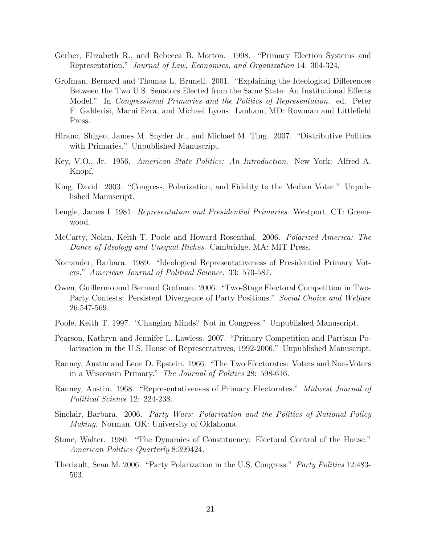- Gerber, Elizabeth R., and Rebecca B. Morton. 1998. "Primary Election Systems and Representation." Journal of Law, Economics, and Organization 14: 304-324.
- Grofman, Bernard and Thomas L. Brunell. 2001. "Explaining the Ideological Differences Between the Two U.S. Senators Elected from the Same State: An Institutional Effects Model." In *Congressional Primaries and the Politics of Representation*. ed. Peter F. Galderisi, Marni Ezra, and Michael Lyons. Lanham, MD: Rowman and Littlefield Press.
- Hirano, Shigeo, James M. Snyder Jr., and Michael M. Ting. 2007. "Distributive Politics with Primaries." Unpublished Manuscript.
- Key, V.O., Jr. 1956. American State Politics: An Introduction. New York: Alfred A. Knopf.
- King, David. 2003. "Congress, Polarization, and Fidelity to the Median Voter." Unpublished Manuscript.
- Lengle, James I. 1981. Representation and Presidential Primaries. Westport, CT: Greenwood.
- McCarty, Nolan, Keith T. Poole and Howard Rosenthal. 2006. Polarized America: The Dance of Ideology and Unequal Riches. Cambridge, MA: MIT Press.
- Norrander, Barbara. 1989. "Ideological Representativeness of Presidential Primary Voters." American Journal of Political Science. 33: 570-587.
- Owen, Guillermo and Bernard Grofman. 2006. \Two-Stage Electoral Competition in Two-Party Contests: Persistent Divergence of Party Positions." Social Choice and Welfare 26:547-569.
- Poole, Keith T. 1997. "Changing Minds? Not in Congress." Unpublished Manuscript.
- Pearson, Kathryn and Jennifer L. Lawless. 2007. \Primary Competition and Partisan Polarization in the U.S. House of Representatives, 1992-2006." Unpublished Manuscript.
- Ranney, Austin and Leon D. Epstein. 1966. \The Two Electorates: Voters and Non-Voters in a Wisconsin Primary." The Journal of Politics 28: 598-616.
- Ranney, Austin. 1968. "Representativeness of Primary Electorates." Midwest Journal of Political Science 12: 224-238.
- Sinclair, Barbara. 2006. Party Wars: Polarization and the Politics of National Policy Making. Norman, OK: University of Oklahoma.
- Stone, Walter. 1980. "The Dynamics of Constituency: Electoral Control of the House." American Politics Quarterly 8:399424.
- Theriault, Sean M. 2006. "Party Polarization in the U.S. Congress." Party Politics 12:483-503.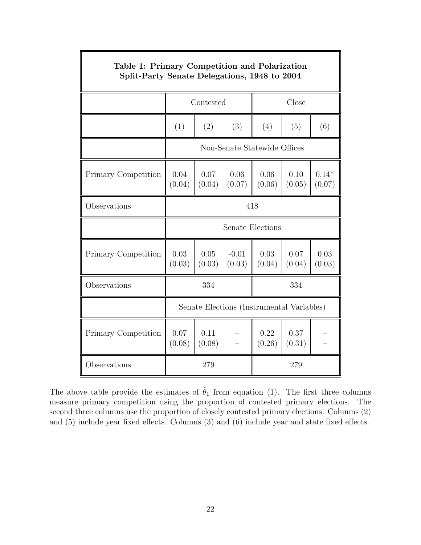| Table 1: Primary Competition and Polarization<br>Split-Party Senate Delegations, 1948 to 2004 |                                           |                    |                   |                |                |                   |  |  |
|-----------------------------------------------------------------------------------------------|-------------------------------------------|--------------------|-------------------|----------------|----------------|-------------------|--|--|
|                                                                                               |                                           | Close<br>Contested |                   |                |                |                   |  |  |
|                                                                                               | (1)                                       | (2)                | (3)               | (4)            | (5)            | (6)               |  |  |
|                                                                                               | Non-Senate Statewide Offices              |                    |                   |                |                |                   |  |  |
| Primary Competition                                                                           | 0.04<br>(0.04)                            | 0.07<br>(0.04)     | 0.06<br>(0.07)    | 0.06<br>(0.06) | 0.10<br>(0.05) | $0.14*$<br>(0.07) |  |  |
| Observations                                                                                  | 418                                       |                    |                   |                |                |                   |  |  |
|                                                                                               | Senate Elections                          |                    |                   |                |                |                   |  |  |
| Primary Competition                                                                           | 0.03<br>(0.03)                            | 0.05<br>(0.03)     | $-0.01$<br>(0.03) | 0.03<br>(0.04) | 0.07<br>(0.04) | 0.03<br>(0.03)    |  |  |
| Observations                                                                                  | 334<br>334                                |                    |                   |                |                |                   |  |  |
|                                                                                               | Senate Elections (Instrumental Variables) |                    |                   |                |                |                   |  |  |
| Primary Competition                                                                           | 0.07<br>(0.08)                            | 0.11<br>(0.08)     |                   | 0.22<br>(0.26) | 0.37<br>(0.31) |                   |  |  |
| Observations                                                                                  |                                           | 279<br>279         |                   |                |                |                   |  |  |

The above table provide the estimates of  $\hat{\theta}_1$  from equation (1). The first three columns measure primary competition using the proportion of contested primary elections. The second three columns use the proportion of closely contested primary elections. Columns (2) and  $(5)$  include year fixed effects. Columns  $(3)$  and  $(6)$  include year and state fixed effects.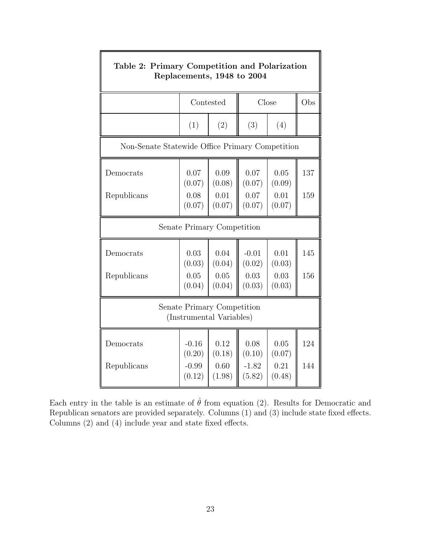| Table 2: Primary Competition and Polarization<br>Replacements, 1948 to 2004 |                   |                |                   |                |     |  |  |  |
|-----------------------------------------------------------------------------|-------------------|----------------|-------------------|----------------|-----|--|--|--|
|                                                                             |                   | Contested      | Close             | Obs            |     |  |  |  |
|                                                                             | (1)               | (2)            | (3)               | (4)            |     |  |  |  |
| Non-Senate Statewide Office Primary Competition                             |                   |                |                   |                |     |  |  |  |
| Democrats                                                                   | 0.07<br>(0.07)    | 0.09<br>(0.08) | 0.07<br>(0.07)    | 0.05<br>(0.09) | 137 |  |  |  |
| Republicans                                                                 | 0.08<br>(0.07)    | 0.01<br>(0.07) | 0.07<br>(0.07)    | 0.01<br>(0.07) | 159 |  |  |  |
| Senate Primary Competition                                                  |                   |                |                   |                |     |  |  |  |
| Democrats                                                                   | 0.03<br>(0.03)    | 0.04<br>(0.04) | $-0.01$<br>(0.02) | 0.01<br>(0.03) | 145 |  |  |  |
| Republicans                                                                 | 0.05<br>(0.04)    | 0.05<br>(0.04) | 0.03<br>(0.03)    | 0.03<br>(0.03) | 156 |  |  |  |
| Senate Primary Competition<br>(Instrumental Variables)                      |                   |                |                   |                |     |  |  |  |
| Democrats                                                                   | $-0.16$<br>(0.20) | 0.12<br>(0.18) | 0.08<br>(0.10)    | 0.05<br>(0.07) | 124 |  |  |  |
| Republicans                                                                 | $-0.99$<br>(0.12) | 0.60<br>(1.98) | $-1.82$<br>(5.82) | 0.21<br>(0.48) | 144 |  |  |  |

 $\overline{\mathbf{h}}$ 

Each entry in the table is an estimate of  $\hat{\theta}$  from equation (2). Results for Democratic and Republican senators are provided separately. Columns  $(1)$  and  $(3)$  include state fixed effects. Columns  $(2)$  and  $(4)$  include year and state fixed effects.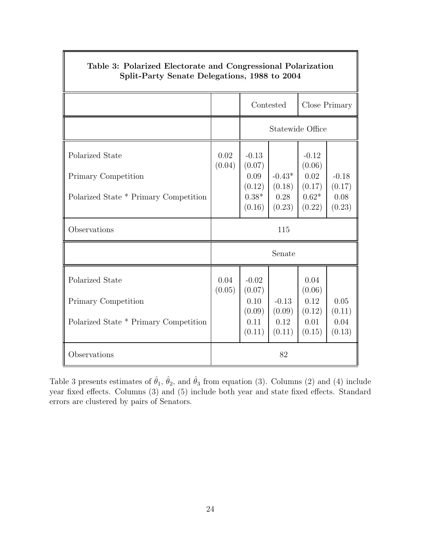| Table 3: Polarized Electorate and Congressional Polarization<br>Split-Party Senate Delegations, 1988 to 2004 |                |                                                          |                                      |                                                          |                                     |  |  |
|--------------------------------------------------------------------------------------------------------------|----------------|----------------------------------------------------------|--------------------------------------|----------------------------------------------------------|-------------------------------------|--|--|
|                                                                                                              |                | Contested<br>Close Primary                               |                                      |                                                          |                                     |  |  |
|                                                                                                              |                | Statewide Office                                         |                                      |                                                          |                                     |  |  |
| Polarized State<br>Primary Competition<br>Polarized State * Primary Competition                              | 0.02<br>(0.04) | $-0.13$<br>(0.07)<br>0.09<br>(0.12)<br>$0.38*$<br>(0.16) | $-0.43*$<br>(0.18)<br>0.28<br>(0.23) | $-0.12$<br>(0.06)<br>0.02<br>(0.17)<br>$0.62*$<br>(0.22) | $-0.18$<br>(0.17)<br>0.08<br>(0.23) |  |  |
| Observations                                                                                                 | 115            |                                                          |                                      |                                                          |                                     |  |  |
|                                                                                                              | Senate         |                                                          |                                      |                                                          |                                     |  |  |
| Polarized State<br>Primary Competition<br>Polarized State * Primary Competition                              | 0.04<br>(0.05) | $-0.02$<br>(0.07)<br>0.10<br>(0.09)<br>0.11<br>(0.11)    | $-0.13$<br>(0.09)<br>0.12<br>(0.11)  | 0.04<br>(0.06)<br>0.12<br>(0.12)<br>0.01<br>(0.15)       | 0.05<br>(0.11)<br>0.04<br>(0.13)    |  |  |
| Observations                                                                                                 |                |                                                          | 82                                   |                                                          |                                     |  |  |

Table 3 presents estimates of  $\hat{\theta}_1$ ,  $\hat{\theta}_2$ , and  $\hat{\theta}_3$  from equation (3). Columns (2) and (4) include year fixed effects. Columns (3) and (5) include both year and state fixed effects. Standard errors are clustered by pairs of Senators.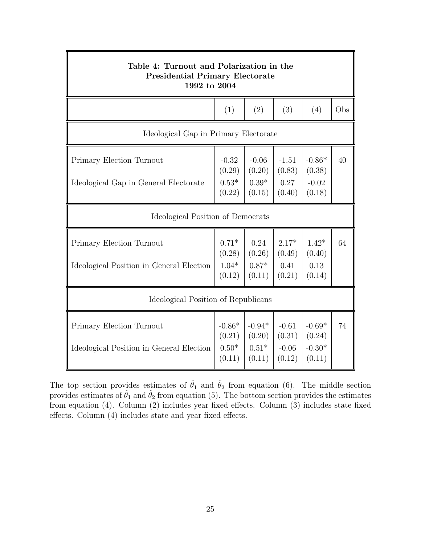| Table 4: Turnout and Polarization in the<br><b>Presidential Primary Electorate</b><br>1992 to 2004 |                                         |                                         |                                        |                                          |     |  |  |  |
|----------------------------------------------------------------------------------------------------|-----------------------------------------|-----------------------------------------|----------------------------------------|------------------------------------------|-----|--|--|--|
|                                                                                                    | (1)                                     | (2)                                     | (3)                                    | (4)                                      | Obs |  |  |  |
| Ideological Gap in Primary Electorate                                                              |                                         |                                         |                                        |                                          |     |  |  |  |
| Primary Election Turnout<br>Ideological Gap in General Electorate                                  | $-0.32$<br>(0.29)<br>$0.53*$<br>(0.22)  | $-0.06$<br>(0.20)<br>$0.39*$<br>(0.15)  | $-1.51$<br>(0.83)<br>0.27<br>(0.40)    | $-0.86*$<br>(0.38)<br>$-0.02$<br>(0.18)  | 40  |  |  |  |
| Ideological Position of Democrats                                                                  |                                         |                                         |                                        |                                          |     |  |  |  |
| Primary Election Turnout<br>Ideological Position in General Election                               | $0.71*$<br>(0.28)<br>$1.04*$<br>(0.12)  | 0.24<br>(0.26)<br>$0.87*$<br>(0.11)     | $2.17*$<br>(0.49)<br>0.41<br>(0.21)    | $1.42*$<br>(0.40)<br>0.13<br>(0.14)      | 64  |  |  |  |
| Ideological Position of Republicans                                                                |                                         |                                         |                                        |                                          |     |  |  |  |
| Primary Election Turnout<br>Ideological Position in General Election                               | $-0.86*$<br>(0.21)<br>$0.50*$<br>(0.11) | $-0.94*$<br>(0.20)<br>$0.51*$<br>(0.11) | $-0.61$<br>(0.31)<br>$-0.06$<br>(0.12) | $-0.69*$<br>(0.24)<br>$-0.30*$<br>(0.11) | 74  |  |  |  |

The top section provides estimates of  $\hat{\theta}_1$  and  $\hat{\theta}_2$  from equation (6). The middle section provides estimates of  $\hat{\theta}_1$  and  $\hat{\theta}_2$  from equation (5). The bottom section provides the estimates from equation  $(4)$ . Column  $(2)$  includes year fixed effects. Column  $(3)$  includes state fixed effects. Column  $(4)$  includes state and year fixed effects.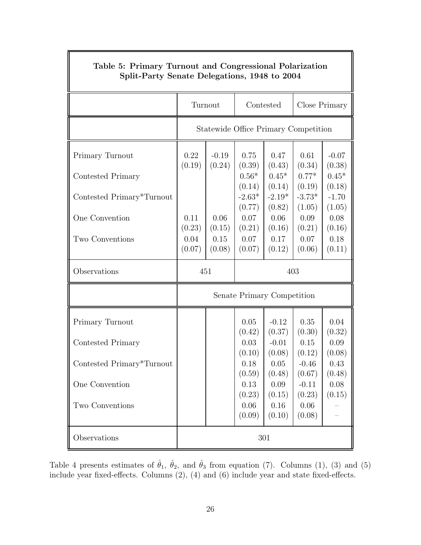| Spin-Party Senate Delegations, 1948 to 2004 |                |                   |                                      |                    |                    |                   |  |  |
|---------------------------------------------|----------------|-------------------|--------------------------------------|--------------------|--------------------|-------------------|--|--|
|                                             | Turnout        |                   | Contested                            |                    | Close Primary      |                   |  |  |
|                                             |                |                   | Statewide Office Primary Competition |                    |                    |                   |  |  |
| Primary Turnout                             | 0.22<br>(0.19) | $-0.19$<br>(0.24) | 0.75<br>(0.39)                       | 0.47<br>(0.43)     | 0.61<br>(0.34)     | $-0.07$<br>(0.38) |  |  |
| Contested Primary                           |                |                   | $0.56*$<br>(0.14)                    | $0.45*$<br>(0.14)  | $0.77*$<br>(0.19)  | $0.45*$<br>(0.18) |  |  |
| Contested Primary*Turnout                   |                |                   | $-2.63*$<br>(0.77)                   | $-2.19*$<br>(0.82) | $-3.73*$<br>(1.05) | $-1.70$<br>(1.05) |  |  |
| One Convention                              | 0.11<br>(0.23) | 0.06<br>(0.15)    | 0.07<br>(0.21)                       | 0.06<br>(0.16)     | 0.09<br>(0.21)     | 0.08<br>(0.16)    |  |  |
| Two Conventions                             | 0.04<br>(0.07) | 0.15<br>(0.08)    | 0.07<br>(0.07)                       | 0.17<br>(0.12)     | 0.07<br>(0.06)     | 0.18<br>(0.11)    |  |  |
| Observations                                | 451            |                   | 403                                  |                    |                    |                   |  |  |
|                                             |                |                   | Senate Primary Competition           |                    |                    |                   |  |  |
| Primary Turnout                             |                |                   | 0.05<br>(0.42)                       | $-0.12$<br>(0.37)  | 0.35<br>(0.30)     | 0.04<br>(0.32)    |  |  |
| Contested Primary                           |                |                   | 0.03<br>(0.10)                       | $-0.01$<br>(0.08)  | 0.15<br>(0.12)     | 0.09<br>(0.08)    |  |  |
| Contested Primary*Turnout                   |                |                   | 0.18<br>(0.59)                       | 0.05<br>(0.48)     | $-0.46$<br>(0.67)  | 0.43<br>(0.48)    |  |  |
| One Convention                              |                |                   | $0.13\,$<br>(0.23)                   | 0.09<br>(0.15)     | $-0.11$<br>(0.23)  | 0.08<br>(0.15)    |  |  |
| Two Conventions                             |                |                   | 0.06<br>(0.09)                       | $0.16\,$<br>(0.10) | 0.06<br>(0.08)     |                   |  |  |
| Observations                                | 301            |                   |                                      |                    |                    |                   |  |  |

# Table 5: Primary Turnout and Congressional Polarization Split-Party Senate Delegations, 1948 to 2004

Table 4 presents estimates of  $\hat{\theta}_1$ ,  $\hat{\theta}_2$ , and  $\hat{\theta}_3$  from equation (7). Columns (1), (3) and (5) include year fixed-effects. Columns  $(2)$ ,  $(4)$  and  $(6)$  include year and state fixed-effects.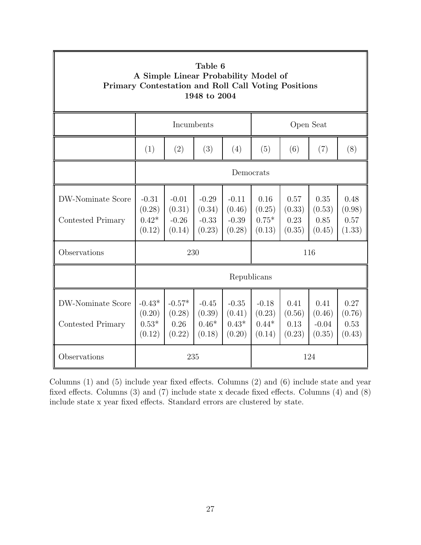| Table 6<br>A Simple Linear Probability Model of<br>Primary Contestation and Roll Call Voting Positions<br>1948 to 2004 |                                         |                                        |                                        |                                        |                                        |                                  |                                     |                                  |  |
|------------------------------------------------------------------------------------------------------------------------|-----------------------------------------|----------------------------------------|----------------------------------------|----------------------------------------|----------------------------------------|----------------------------------|-------------------------------------|----------------------------------|--|
|                                                                                                                        | Incumbents                              |                                        |                                        |                                        | Open Seat                              |                                  |                                     |                                  |  |
|                                                                                                                        | (1)                                     | (2)                                    | (3)                                    | (4)                                    | (5)                                    | (6)                              | (7)                                 | (8)                              |  |
|                                                                                                                        | Democrats                               |                                        |                                        |                                        |                                        |                                  |                                     |                                  |  |
| DW-Nominate Score<br>Contested Primary                                                                                 | $-0.31$<br>(0.28)<br>$0.42*$<br>(0.12)  | $-0.01$<br>(0.31)<br>$-0.26$<br>(0.14) | $-0.29$<br>(0.34)<br>$-0.33$<br>(0.23) | $-0.11$<br>(0.46)<br>$-0.39$<br>(0.28) | 0.16<br>(0.25)<br>$0.75*$<br>(0.13)    | 0.57<br>(0.33)<br>0.23<br>(0.35) | 0.35<br>(0.53)<br>0.85<br>(0.45)    | 0.48<br>(0.98)<br>0.57<br>(1.33) |  |
| Observations                                                                                                           | 230<br>116                              |                                        |                                        |                                        |                                        |                                  |                                     |                                  |  |
|                                                                                                                        | Republicans                             |                                        |                                        |                                        |                                        |                                  |                                     |                                  |  |
| DW-Nominate Score<br>Contested Primary                                                                                 | $-0.43*$<br>(0.20)<br>$0.53*$<br>(0.12) | $-0.57*$<br>(0.28)<br>0.26<br>(0.22)   | $-0.45$<br>(0.39)<br>$0.46*$<br>(0.18) | $-0.35$<br>(0.41)<br>$0.43*$<br>(0.20) | $-0.18$<br>(0.23)<br>$0.44*$<br>(0.14) | 0.41<br>(0.56)<br>0.13<br>(0.23) | 0.41<br>(0.46)<br>$-0.04$<br>(0.35) | 0.27<br>(0.76)<br>0.53<br>(0.43) |  |
| Observations                                                                                                           |                                         | 235                                    |                                        |                                        |                                        |                                  | 124                                 |                                  |  |

Columns  $(1)$  and  $(5)$  include year fixed effects. Columns  $(2)$  and  $(6)$  include state and year fixed effects. Columns  $(3)$  and  $(7)$  include state x decade fixed effects. Columns  $(4)$  and  $(8)$ include state  $x$  year fixed effects. Standard errors are clustered by state.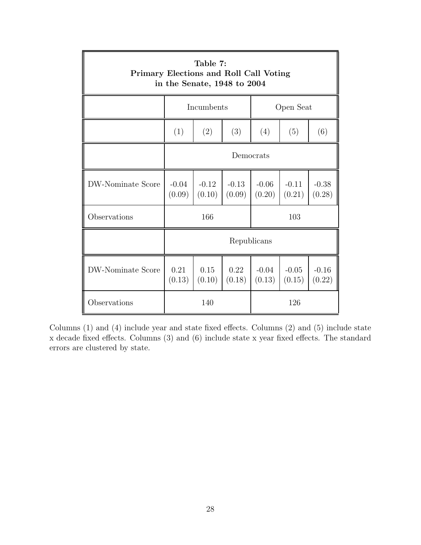| Table 7:<br>Primary Elections and Roll Call Voting<br>in the Senate, 1948 to 2004 |                   |                   |                   |                   |                   |                   |  |  |  |
|-----------------------------------------------------------------------------------|-------------------|-------------------|-------------------|-------------------|-------------------|-------------------|--|--|--|
|                                                                                   |                   | Incumbents        |                   | Open Seat         |                   |                   |  |  |  |
|                                                                                   | (2)<br>(1)<br>(3) |                   |                   | (4)               | (5)               | (6)               |  |  |  |
|                                                                                   | Democrats         |                   |                   |                   |                   |                   |  |  |  |
| <b>DW-Nominate Score</b>                                                          | $-0.04$<br>(0.09) | $-0.12$<br>(0.10) | $-0.13$<br>(0.09) | $-0.06$<br>(0.20) | $-0.11$<br>(0.21) | $-0.38$<br>(0.28) |  |  |  |
| Observations                                                                      | 166<br>103        |                   |                   |                   |                   |                   |  |  |  |
|                                                                                   | Republicans       |                   |                   |                   |                   |                   |  |  |  |
| DW-Nominate Score                                                                 | 0.21<br>(0.13)    | 0.15<br>(0.10)    | 0.22<br>(0.18)    | $-0.04$<br>(0.13) | $-0.05$<br>(0.15) | $-0.16$<br>(0.22) |  |  |  |
| Observations                                                                      |                   | 140               |                   |                   | 126               |                   |  |  |  |

Columns  $(1)$  and  $(4)$  include year and state fixed effects. Columns  $(2)$  and  $(5)$  include state  $x$  decade fixed effects. Columns  $(3)$  and  $(6)$  include state x year fixed effects. The standard errors are clustered by state.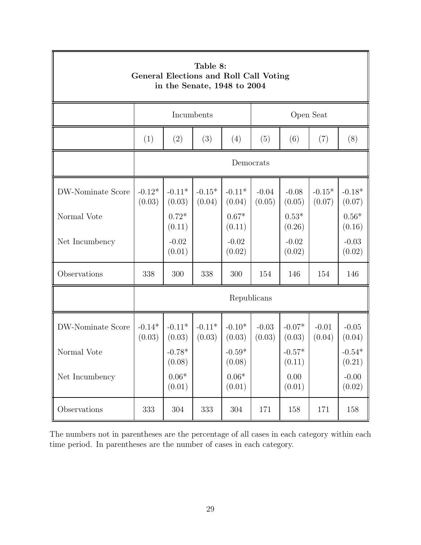| Table 8:<br>General Elections and Roll Call Voting<br>in the Senate, 1948 to 2004 |                    |                         |                    |                                 |                   |                    |                    |                         |
|-----------------------------------------------------------------------------------|--------------------|-------------------------|--------------------|---------------------------------|-------------------|--------------------|--------------------|-------------------------|
|                                                                                   |                    | Incumbents              |                    |                                 |                   |                    | Open Seat          |                         |
|                                                                                   | (1)                | (2)                     | (3)                | (4)                             | (5)               | (6)                | (7)                | (8)                     |
|                                                                                   | Democrats          |                         |                    |                                 |                   |                    |                    |                         |
| DW-Nominate Score                                                                 | $-0.12*$<br>(0.03) | $-0.11*$<br>(0.03)      | $-0.15*$<br>(0.04) | $-0.11*$<br>(0.04)              | $-0.04$<br>(0.05) | $-0.08$<br>(0.05)  | $-0.15*$<br>(0.07) | $-0.18*$<br>(0.07)      |
| Normal Vote                                                                       |                    | $0.72*$<br>(0.11)       |                    | $0.67*$<br>(0.11)               |                   | $0.53*$<br>(0.26)  |                    | $0.56^{\ast}$<br>(0.16) |
| Net Incumbency                                                                    |                    | $-0.02$<br>(0.01)       |                    | $-0.02$<br>(0.02)               |                   | $-0.02$<br>(0.02)  |                    | $-0.03$<br>(0.02)       |
| Observations                                                                      | 338                | 300                     | 338                | 300                             | 154               | 146                | 154                | 146                     |
|                                                                                   | Republicans        |                         |                    |                                 |                   |                    |                    |                         |
| DW-Nominate Score                                                                 | $-0.14*$<br>(0.03) | $-0.11*$<br>(0.03)      | $-0.11*$<br>(0.03) | $-0.10*$<br>(0.03)              | $-0.03$<br>(0.03) | $-0.07*$<br>(0.03) | $-0.01$<br>(0.04)  | $-0.05$<br>(0.04)       |
| Normal Vote                                                                       |                    | $-0.78*$<br>(0.08)      |                    | $-0.59^{\ast}$<br>(0.08)        |                   | $-0.57*$<br>(0.11) |                    | $-0.54*$<br>(0.21)      |
| Net Incumbency                                                                    |                    | $0.06^{\ast}$<br>(0.01) |                    | $0.06\ensuremath{^*}$<br>(0.01) |                   | 0.00<br>(0.01)     |                    | $-0.00$<br>(0.02)       |
| Observations                                                                      | $333\,$            | 304                     | $333\,$            | 304                             | $171\,$           | 158                | 171                | $158\,$                 |

The numbers not in parentheses are the percentage of all cases in each category within each time period. In parentheses are the number of cases in each category.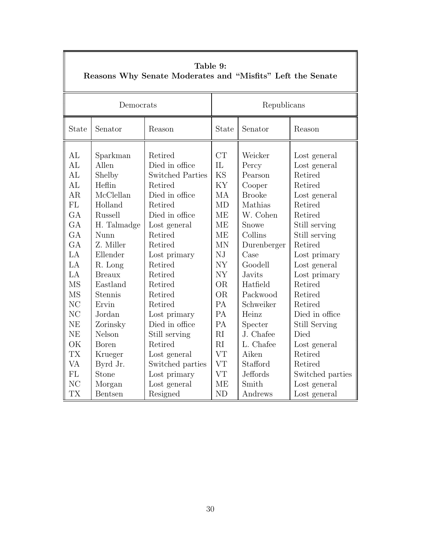| Democrats<br>Republicans<br>State<br>State<br>Senator<br>Senator<br>Reason<br>Reason<br>CT<br>AL<br>Weicker<br>Retired<br>Sparkman<br>Lost general<br>$\overline{\text{IL}}$<br>AI<br>Allen<br>Died in office<br>Percy<br>Lost general<br><b>KS</b><br>AL<br>Shelby<br><b>Switched Parties</b><br>Pearson<br>Retired<br>KY<br>Heflin<br>AL<br>Retired<br>Retired<br>Cooper<br>McClellan<br>MA<br>AR<br>Died in office<br><b>Brooke</b><br>Lost general<br>FL<br>Holland<br>Retired<br>MD<br>Mathias<br>Retired<br>GA<br>Russell<br>Died in office<br><b>ME</b><br>W. Cohen<br>Retired<br>GA<br><b>ME</b><br>H. Talmadge<br>Lost general<br>Snowe<br>Still serving<br>GA<br><b>ME</b><br>Collins<br>Retired<br>Nunn<br>Still serving<br>GA<br>Z. Miller<br><b>MN</b><br>Retired<br>Retired<br>Durenberger<br>NJ<br>LA<br>Ellender<br>Lost primary<br>Case<br>Lost primary<br>NY<br>LA<br>Goodell<br>R. Long<br>Retired<br>Lost general<br>LA<br>NY<br><b>Breaux</b><br>Retired<br><b>Javits</b><br>Lost primary | Table 9:<br>Reasons Why Senate Moderates and "Misfits" Left the Senate |  |  |           |  |                  |  |  |  |
|----------------------------------------------------------------------------------------------------------------------------------------------------------------------------------------------------------------------------------------------------------------------------------------------------------------------------------------------------------------------------------------------------------------------------------------------------------------------------------------------------------------------------------------------------------------------------------------------------------------------------------------------------------------------------------------------------------------------------------------------------------------------------------------------------------------------------------------------------------------------------------------------------------------------------------------------------------------------------------------------------------------|------------------------------------------------------------------------|--|--|-----------|--|------------------|--|--|--|
|                                                                                                                                                                                                                                                                                                                                                                                                                                                                                                                                                                                                                                                                                                                                                                                                                                                                                                                                                                                                                |                                                                        |  |  |           |  |                  |  |  |  |
|                                                                                                                                                                                                                                                                                                                                                                                                                                                                                                                                                                                                                                                                                                                                                                                                                                                                                                                                                                                                                |                                                                        |  |  |           |  |                  |  |  |  |
| Eastland<br>Retired<br>Hatfield<br>Retired<br>Stennis<br><b>OR</b><br>Packwood<br>Retired<br><b>MS</b><br>Retired<br>NC<br>PA<br>Ervin<br>Retired<br>Schweiker<br>Retired<br>PA<br>NC<br>Died in office<br>Jordan<br>Heinz<br>Lost primary<br>PA<br><b>NE</b><br>Died in office<br>Specter<br><b>Still Serving</b><br>Zorinsky<br><b>NE</b><br>Nelson<br>RI<br>J. Chafee<br>Died<br>Still serving<br>OK<br>RI<br>L. Chafee<br>Retired<br><b>Boren</b><br>Lost general<br><b>VT</b><br><b>TX</b><br>Aiken<br>Retired<br>Lost general<br>Krueger<br><b>VT</b><br>Stafford<br><b>VA</b><br>Byrd Jr.<br>Retired<br>Switched parties<br><b>VT</b><br>FL<br>Stone<br>Jeffords<br>Lost primary<br>N <sub>C</sub><br>Smith<br><b>ME</b><br>Morgan<br>Lost general<br>Lost general                                                                                                                                                                                                                                      | <b>MS</b>                                                              |  |  | <b>OR</b> |  | Switched parties |  |  |  |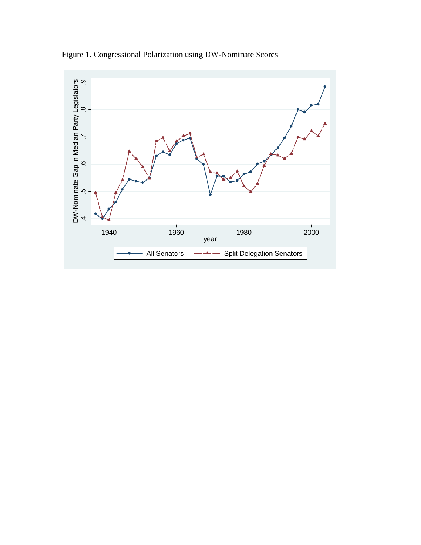

Figure 1. Congressional Polarization using DW-Nominate Scores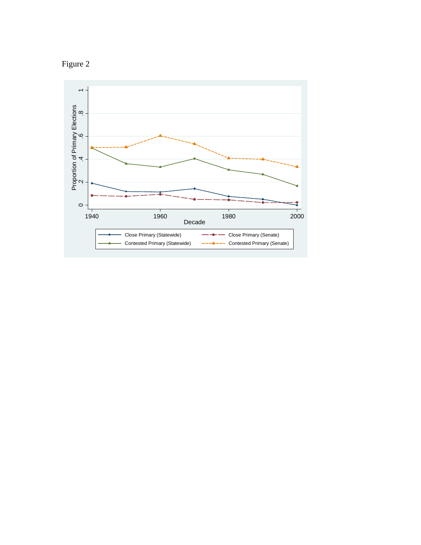

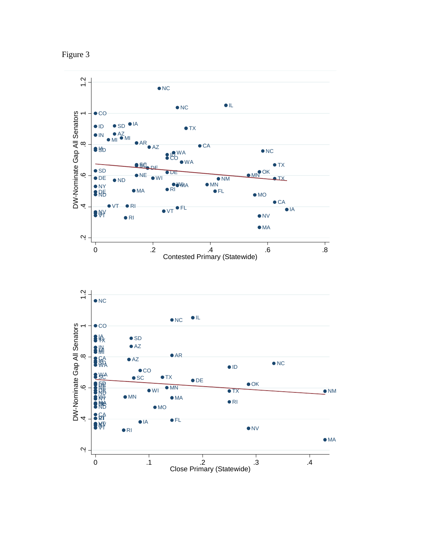

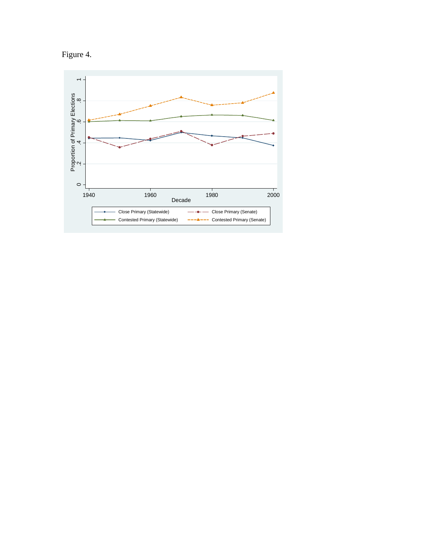

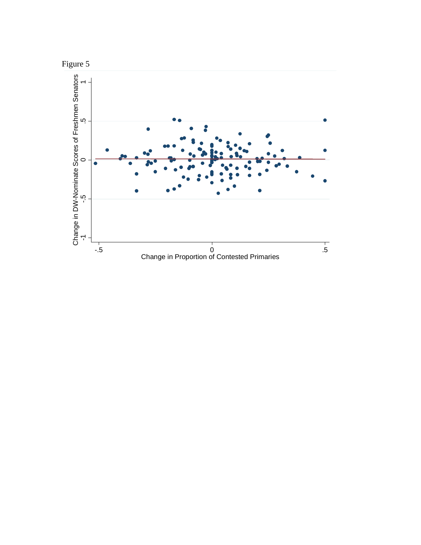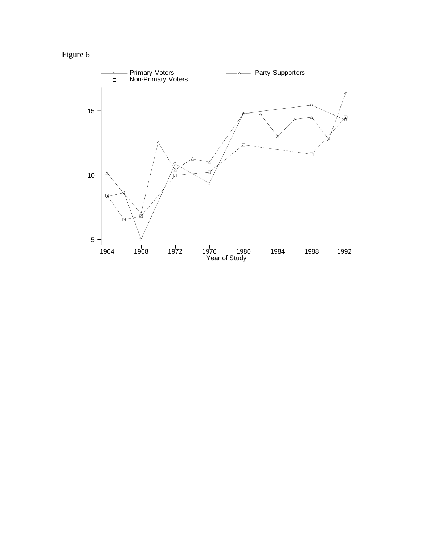Figure 6

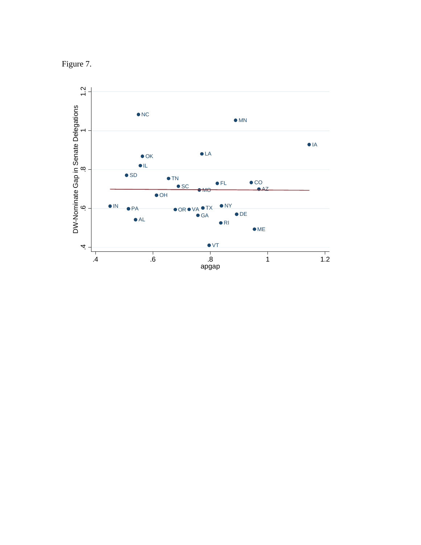

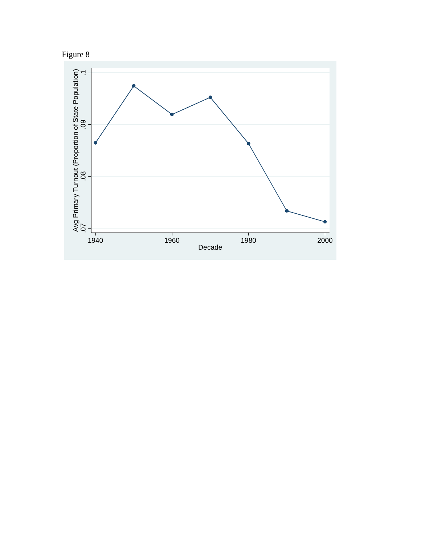